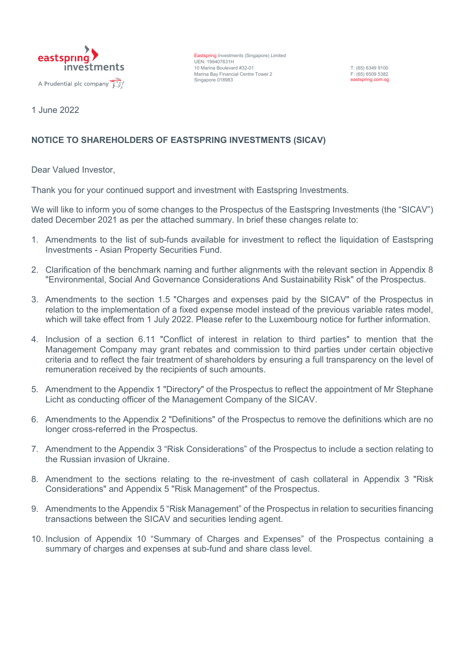

Eastspring Investments (Singapore) Limited UEN: 199407631H 10 Marina Boulevard #32-01 Marina Bay Financial Centre Tower 2 Singapore 018983

T: (65) 6349 9100 F: (65) 6509 5382 eastspring.com.sg

1 June 2022

# **NOTICE TO SHAREHOLDERS OF EASTSPRING INVESTMENTS (SICAV)**

Dear Valued Investor,

Thank you for your continued support and investment with Eastspring Investments.

We will like to inform you of some changes to the Prospectus of the Eastspring Investments (the "SICAV") dated December 2021 as per the attached summary. In brief these changes relate to:

- 1. Amendments to the list of sub-funds available for investment to reflect the liquidation of Eastspring Investments - Asian Property Securities Fund.
- 2. Clarification of the benchmark naming and further alignments with the relevant section in Appendix 8 "Environmental, Social And Governance Considerations And Sustainability Risk" of the Prospectus.
- 3. Amendments to the section 1.5 "Charges and expenses paid by the SICAV" of the Prospectus in relation to the implementation of a fixed expense model instead of the previous variable rates model, which will take effect from 1 July 2022. Please refer to the Luxembourg notice for further information.
- 4. Inclusion of a section 6.11 "Conflict of interest in relation to third parties" to mention that the Management Company may grant rebates and commission to third parties under certain objective criteria and to reflect the fair treatment of shareholders by ensuring a full transparency on the level of remuneration received by the recipients of such amounts.
- 5. Amendment to the Appendix 1 "Directory" of the Prospectus to reflect the appointment of Mr Stephane Licht as conducting officer of the Management Company of the SICAV.
- 6. Amendments to the Appendix 2 "Definitions" of the Prospectus to remove the definitions which are no longer cross-referred in the Prospectus.
- 7. Amendment to the Appendix 3 "Risk Considerations" of the Prospectus to include a section relating to the Russian invasion of Ukraine.
- 8. Amendment to the sections relating to the re-investment of cash collateral in Appendix 3 "Risk Considerations" and Appendix 5 "Risk Management" of the Prospectus.
- 9. Amendments to the Appendix 5 "Risk Management" of the Prospectus in relation to securities financing transactions between the SICAV and securities lending agent.
- 10. Inclusion of Appendix 10 "Summary of Charges and Expenses" of the Prospectus containing a summary of charges and expenses at sub-fund and share class level.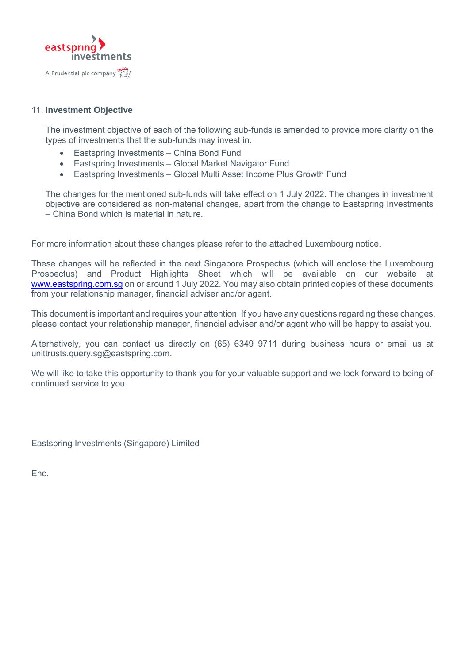

## 11. **Investment Objective**

The investment objective of each of the following sub-funds is amended to provide more clarity on the types of investments that the sub-funds may invest in.

- Eastspring Investments China Bond Fund
- Eastspring Investments Global Market Navigator Fund
- Eastspring Investments Global Multi Asset Income Plus Growth Fund

The changes for the mentioned sub-funds will take effect on 1 July 2022. The changes in investment objective are considered as non-material changes, apart from the change to Eastspring Investments – China Bond which is material in nature.

For more information about these changes please refer to the attached Luxembourg notice.

These changes will be reflected in the next Singapore Prospectus (which will enclose the Luxembourg Prospectus) and Product Highlights Sheet which will be available on our website at [www.eastspring.com.sg](http://www.eastspring.com.sg/) on or around 1 July 2022. You may also obtain printed copies of these documents from your relationship manager, financial adviser and/or agent.

This document is important and requires your attention. If you have any questions regarding these changes, please contact your relationship manager, financial adviser and/or agent who will be happy to assist you.

Alternatively, you can contact us directly on (65) 6349 9711 during business hours or email us at unittrusts.query.sq@eastspring.com.

We will like to take this opportunity to thank you for your valuable support and we look forward to being of continued service to you.

Eastspring Investments (Singapore) Limited

Enc.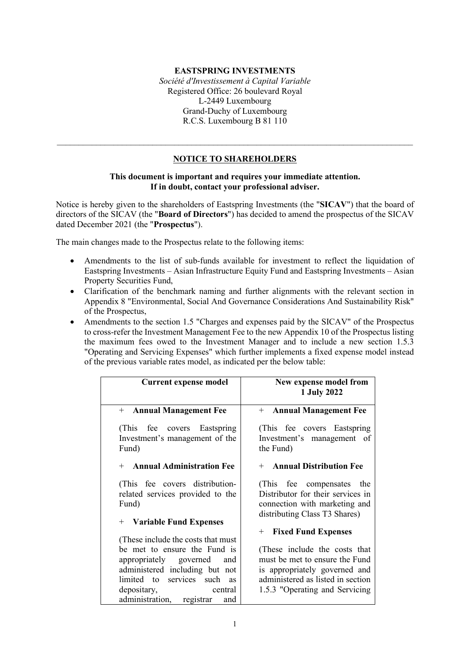### **EASTSPRING INVESTMENTS**

*Société d'Investissement à Capital Variable* Registered Office: 26 boulevard Royal L-2449 Luxembourg Grand-Duchy of Luxembourg R.C.S. Luxembourg B 81 110

### **NOTICE TO SHAREHOLDERS**

 $\_$  , and the set of the set of the set of the set of the set of the set of the set of the set of the set of the set of the set of the set of the set of the set of the set of the set of the set of the set of the set of th

### **This document is important and requires your immediate attention. If in doubt, contact your professional adviser.**

Notice is hereby given to the shareholders of Eastspring Investments (the "**SICAV**") that the board of directors of the SICAV (the "**Board of Directors**") has decided to amend the prospectus of the SICAV dated December 2021 (the "**Prospectus**").

The main changes made to the Prospectus relate to the following items:

- Amendments to the list of sub-funds available for investment to reflect the liquidation of Eastspring Investments – Asian Infrastructure Equity Fund and Eastspring Investments – Asian Property Securities Fund,
- Clarification of the benchmark naming and further alignments with the relevant section in Appendix 8 "Environmental, Social And Governance Considerations And Sustainability Risk" of the Prospectus,
- Amendments to the section 1.5 "Charges and expenses paid by the SICAV" of the Prospectus to cross-refer the Investment Management Fee to the new Appendix 10 of the Prospectus listing the maximum fees owed to the Investment Manager and to include a new section 1.5.3 "Operating and Servicing Expenses" which further implements a fixed expense model instead of the previous variable rates model, as indicated per the below table:

| <b>Current expense model</b>                                                                                                                                                                                                                  | New expense model from<br>1 July 2022                                                                                                                                   |
|-----------------------------------------------------------------------------------------------------------------------------------------------------------------------------------------------------------------------------------------------|-------------------------------------------------------------------------------------------------------------------------------------------------------------------------|
| + Annual Management Fee                                                                                                                                                                                                                       | + Annual Management Fee                                                                                                                                                 |
| (This fee covers Eastspring)<br>Investment's management of the<br>Fund)                                                                                                                                                                       | (This fee covers Eastspring)<br>Investment's management of<br>the Fund)                                                                                                 |
| + Annual Administration Fee                                                                                                                                                                                                                   | + Annual Distribution Fee                                                                                                                                               |
| (This fee covers distribution-<br>related services provided to the<br>Fund)<br>+ Variable Fund Expenses                                                                                                                                       | (This fee compensates the<br>Distributor for their services in<br>connection with marketing and<br>distributing Class T3 Shares)                                        |
|                                                                                                                                                                                                                                               | + Fixed Fund Expenses                                                                                                                                                   |
| (These include the costs that must)<br>be met to ensure the Fund is<br>appropriately governed<br>and<br>administered including but not<br>limited to services such<br><b>as</b><br>depositary,<br>central<br>administration, registrar<br>and | (These include the costs that<br>must be met to ensure the Fund<br>is appropriately governed and<br>administered as listed in section<br>1.5.3 "Operating and Servicing |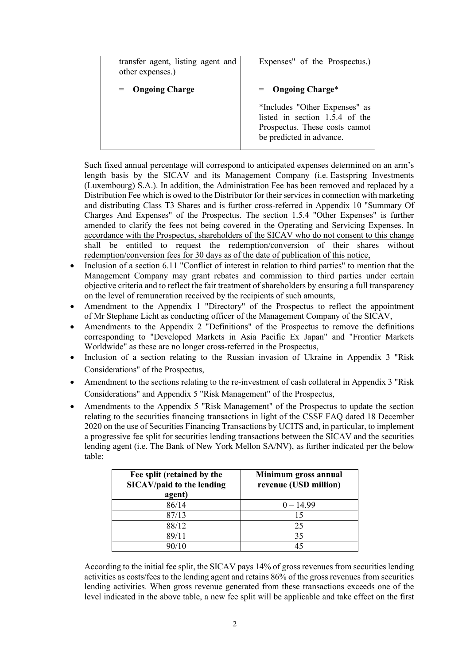| transfer agent, listing agent and<br>other expenses.) | Expenses" of the Prospectus.)                                                                                                                        |
|-------------------------------------------------------|------------------------------------------------------------------------------------------------------------------------------------------------------|
| <b>Ongoing Charge</b><br>$=$                          | $=$ Ongoing Charge*<br>*Includes "Other Expenses" as<br>listed in section 1.5.4 of the<br>Prospectus. These costs cannot<br>be predicted in advance. |

Such fixed annual percentage will correspond to anticipated expenses determined on an arm's length basis by the SICAV and its Management Company (i.e. Eastspring Investments (Luxembourg) S.A.). In addition, the Administration Fee has been removed and replaced by a Distribution Fee which is owed to the Distributor for their services in connection with marketing and distributing Class T3 Shares and is further cross-referred in Appendix 10 "Summary Of Charges And Expenses" of the Prospectus. The section 1.5.4 "Other Expenses" is further amended to clarify the fees not being covered in the Operating and Servicing Expenses. In accordance with the Prospectus, shareholders of the SICAV who do not consent to this change shall be entitled to request the redemption/conversion of their shares without redemption/conversion fees for 30 days as of the date of publication of this notice,

- Inclusion of a section 6.11 "Conflict of interest in relation to third parties" to mention that the Management Company may grant rebates and commission to third parties under certain objective criteria and to reflect the fair treatment of shareholders by ensuring a full transparency on the level of remuneration received by the recipients of such amounts,
- Amendment to the Appendix 1 "Directory" of the Prospectus to reflect the appointment of Mr Stephane Licht as conducting officer of the Management Company of the SICAV,
- Amendments to the Appendix 2 "Definitions" of the Prospectus to remove the definitions corresponding to "Developed Markets in Asia Pacific Ex Japan" and "Frontier Markets Worldwide" as these are no longer cross-referred in the Prospectus,
- Inclusion of a section relating to the Russian invasion of Ukraine in Appendix 3 "Risk" Considerations" of the Prospectus,
- Amendment to the sections relating to the re-investment of cash collateral in Appendix 3 "Risk" Considerations" and Appendix 5 "Risk Management" of the Prospectus,
- Amendments to the Appendix 5 "Risk Management" of the Prospectus to update the section relating to the securities financing transactions in light of the CSSF FAQ dated 18 December 2020 on the use of Securities Financing Transactions by UCITS and, in particular, to implement a progressive fee split for securities lending transactions between the SICAV and the securities lending agent (i.e. The Bank of New York Mellon SA/NV), as further indicated per the below table:

| Fee split (retained by the<br>SICAV/paid to the lending<br>agent) | Minimum gross annual<br>revenue (USD million) |
|-------------------------------------------------------------------|-----------------------------------------------|
| 86/14                                                             | $0 - 14.99$                                   |
| 87/13                                                             | 15                                            |
| 88/12                                                             | 25                                            |
| 89/11                                                             | 35                                            |
|                                                                   | 45                                            |

According to the initial fee split, the SICAV pays 14% of gross revenues from securities lending activities as costs/fees to the lending agent and retains 86% of the gross revenues from securities lending activities. When gross revenue generated from these transactions exceeds one of the level indicated in the above table, a new fee split will be applicable and take effect on the first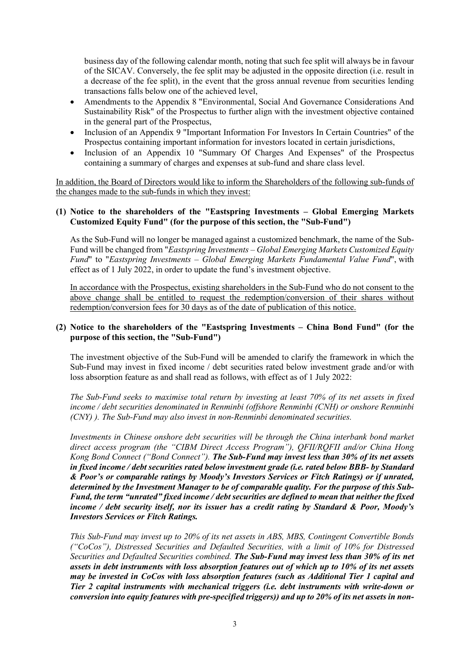business day of the following calendar month, noting that such fee split will always be in favour of the SICAV. Conversely, the fee split may be adjusted in the opposite direction (i.e. result in a decrease of the fee split), in the event that the gross annual revenue from securities lending transactions falls below one of the achieved level,

- Amendments to the Appendix 8 "Environmental, Social And Governance Considerations And Sustainability Risk" of the Prospectus to further align with the investment objective contained in the general part of the Prospectus,
- Inclusion of an Appendix 9 "Important Information For Investors In Certain Countries" of the Prospectus containing important information for investors located in certain jurisdictions,
- Inclusion of an Appendix 10 "Summary Of Charges And Expenses" of the Prospectus containing a summary of charges and expenses at sub-fund and share class level.

In addition, the Board of Directors would like to inform the Shareholders of the following sub-funds of the changes made to the sub-funds in which they invest:

### **(1) Notice to the shareholders of the "Eastspring Investments – Global Emerging Markets Customized Equity Fund" (for the purpose of this section, the "Sub-Fund")**

As the Sub-Fund will no longer be managed against a customized benchmark, the name of the Sub-Fund will be changed from "*Eastspring Investments – Global Emerging Markets Customized Equity Fund*" to "*Eastspring Investments – Global Emerging Markets Fundamental Value Fund*", with effect as of 1 July 2022, in order to update the fund's investment objective.

In accordance with the Prospectus, existing shareholders in the Sub-Fund who do not consent to the above change shall be entitled to request the redemption/conversion of their shares without redemption/conversion fees for 30 days as of the date of publication of this notice.

### **(2) Notice to the shareholders of the "Eastspring Investments – China Bond Fund" (for the purpose of this section, the "Sub-Fund")**

The investment objective of the Sub-Fund will be amended to clarify the framework in which the Sub-Fund may invest in fixed income / debt securities rated below investment grade and/or with loss absorption feature as and shall read as follows, with effect as of 1 July 2022:

*The Sub-Fund seeks to maximise total return by investing at least 70% of its net assets in fixed income / debt securities denominated in Renminbi (offshore Renminbi (CNH) or onshore Renminbi (CNY) ). The Sub-Fund may also invest in non-Renminbi denominated securities.* 

*Investments in Chinese onshore debt securities will be through the China interbank bond market direct access program (the "CIBM Direct Access Program"), QFII/RQFII and/or China Hong Kong Bond Connect ("Bond Connect"). The Sub-Fund may invest less than 30% of its net assets in fixed income / debt securities rated below investment grade (i.e. rated below BBB- by Standard & Poor's or comparable ratings by Moody's Investors Services or Fitch Ratings) or if unrated, determined by the Investment Manager to be of comparable quality. For the purpose of this Sub-Fund, the term "unrated" fixed income / debt securities are defined to mean that neither the fixed income / debt security itself, nor its issuer has a credit rating by Standard & Poor, Moody's Investors Services or Fitch Ratings.* 

*This Sub-Fund may invest up to 20% of its net assets in ABS, MBS, Contingent Convertible Bonds ("CoCos"), Distressed Securities and Defaulted Securities, with a limit of 10% for Distressed Securities and Defaulted Securities combined. The Sub-Fund may invest less than 30% of its net assets in debt instruments with loss absorption features out of which up to 10% of its net assets may be invested in CoCos with loss absorption features (such as Additional Tier 1 capital and Tier 2 capital instruments with mechanical triggers (i.e. debt instruments with write-down or conversion into equity features with pre-specified triggers)) and up to 20% of its net assets in non-*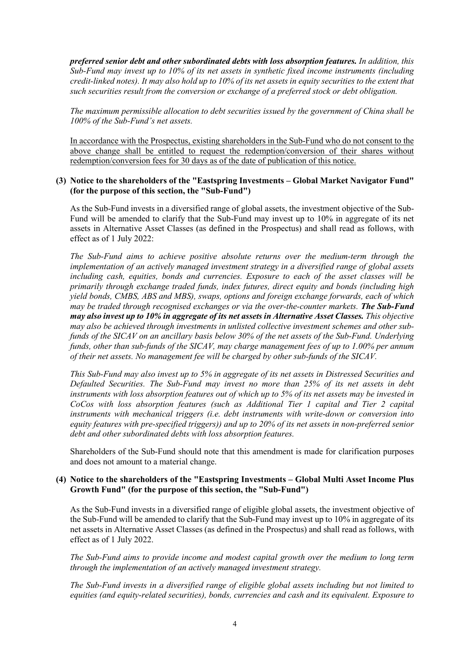*preferred senior debt and other subordinated debts with loss absorption features. In addition, this Sub-Fund may invest up to 10% of its net assets in synthetic fixed income instruments (including credit-linked notes). It may also hold up to 10% of its net assets in equity securities to the extent that such securities result from the conversion or exchange of a preferred stock or debt obligation.* 

*The maximum permissible allocation to debt securities issued by the government of China shall be 100% of the Sub-Fund's net assets.*

In accordance with the Prospectus, existing shareholders in the Sub-Fund who do not consent to the above change shall be entitled to request the redemption/conversion of their shares without redemption/conversion fees for 30 days as of the date of publication of this notice.

#### **(3) Notice to the shareholders of the "Eastspring Investments – Global Market Navigator Fund" (for the purpose of this section, the "Sub-Fund")**

As the Sub-Fund invests in a diversified range of global assets, the investment objective of the Sub-Fund will be amended to clarify that the Sub-Fund may invest up to 10% in aggregate of its net assets in Alternative Asset Classes (as defined in the Prospectus) and shall read as follows, with effect as of 1 July 2022:

*The Sub-Fund aims to achieve positive absolute returns over the medium-term through the implementation of an actively managed investment strategy in a diversified range of global assets including cash, equities, bonds and currencies. Exposure to each of the asset classes will be primarily through exchange traded funds, index futures, direct equity and bonds (including high yield bonds, CMBS, ABS and MBS), swaps, options and foreign exchange forwards, each of which may be traded through recognised exchanges or via the over-the-counter markets. The Sub-Fund may also invest up to 10% in aggregate of its net assets in Alternative Asset Classes. This objective may also be achieved through investments in unlisted collective investment schemes and other subfunds of the SICAV on an ancillary basis below 30% of the net assets of the Sub-Fund. Underlying funds, other than sub-funds of the SICAV, may charge management fees of up to 1.00% per annum of their net assets. No management fee will be charged by other sub-funds of the SICAV.* 

*This Sub-Fund may also invest up to 5% in aggregate of its net assets in Distressed Securities and Defaulted Securities. The Sub-Fund may invest no more than 25% of its net assets in debt instruments with loss absorption features out of which up to 5% of its net assets may be invested in CoCos with loss absorption features (such as Additional Tier 1 capital and Tier 2 capital instruments with mechanical triggers (i.e. debt instruments with write-down or conversion into equity features with pre-specified triggers)) and up to 20% of its net assets in non-preferred senior debt and other subordinated debts with loss absorption features.*

Shareholders of the Sub-Fund should note that this amendment is made for clarification purposes and does not amount to a material change.

### **(4) Notice to the shareholders of the "Eastspring Investments – Global Multi Asset Income Plus Growth Fund" (for the purpose of this section, the "Sub-Fund")**

As the Sub-Fund invests in a diversified range of eligible global assets, the investment objective of the Sub-Fund will be amended to clarify that the Sub-Fund may invest up to 10% in aggregate of its net assets in Alternative Asset Classes (as defined in the Prospectus) and shall read as follows, with effect as of 1 July 2022.

*The Sub-Fund aims to provide income and modest capital growth over the medium to long term through the implementation of an actively managed investment strategy.* 

*The Sub-Fund invests in a diversified range of eligible global assets including but not limited to equities (and equity-related securities), bonds, currencies and cash and its equivalent. Exposure to*